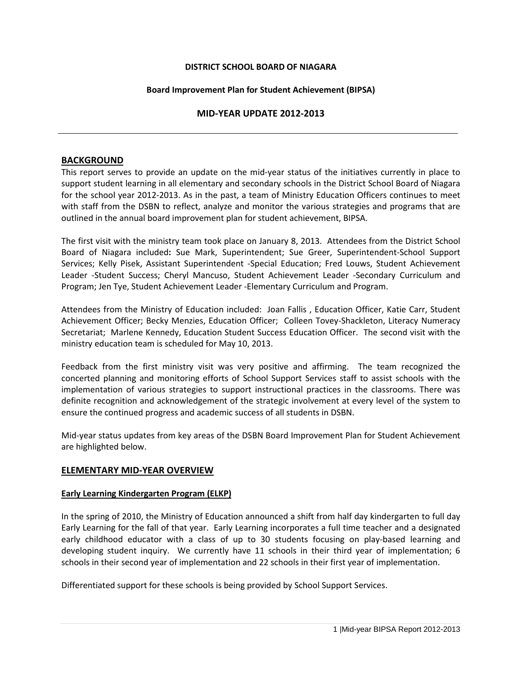### **DISTRICT SCHOOL BOARD OF NIAGARA**

### **Board Improvement Plan for Student Achievement (BIPSA)**

## **MID-YEAR UPDATE 2012-2013**

### **BACKGROUND**

This report serves to provide an update on the mid-year status of the initiatives currently in place to support student learning in all elementary and secondary schools in the District School Board of Niagara for the school year 2012-2013. As in the past, a team of Ministry Education Officers continues to meet with staff from the DSBN to reflect, analyze and monitor the various strategies and programs that are outlined in the annual board improvement plan for student achievement, BIPSA.

The first visit with the ministry team took place on January 8, 2013. Attendees from the District School Board of Niagara included**:** Sue Mark, Superintendent; Sue Greer, Superintendent-School Support Services; Kelly Pisek, Assistant Superintendent -Special Education; Fred Louws, Student Achievement Leader -Student Success; Cheryl Mancuso, Student Achievement Leader -Secondary Curriculum and Program; Jen Tye, Student Achievement Leader -Elementary Curriculum and Program.

Attendees from the Ministry of Education included: Joan Fallis , Education Officer, Katie Carr, Student Achievement Officer; Becky Menzies, Education Officer; Colleen Tovey-Shackleton, Literacy Numeracy Secretariat; Marlene Kennedy, Education Student Success Education Officer. The second visit with the ministry education team is scheduled for May 10, 2013.

Feedback from the first ministry visit was very positive and affirming. The team recognized the concerted planning and monitoring efforts of School Support Services staff to assist schools with the implementation of various strategies to support instructional practices in the classrooms. There was definite recognition and acknowledgement of the strategic involvement at every level of the system to ensure the continued progress and academic success of all students in DSBN.

Mid-year status updates from key areas of the DSBN Board Improvement Plan for Student Achievement are highlighted below.

# **ELEMENTARY MID-YEAR OVERVIEW**

#### **Early Learning Kindergarten Program (ELKP)**

In the spring of 2010, the Ministry of Education announced a shift from half day kindergarten to full day Early Learning for the fall of that year. Early Learning incorporates a full time teacher and a designated early childhood educator with a class of up to 30 students focusing on play-based learning and developing student inquiry. We currently have 11 schools in their third year of implementation; 6 schools in their second year of implementation and 22 schools in their first year of implementation.

Differentiated support for these schools is being provided by School Support Services.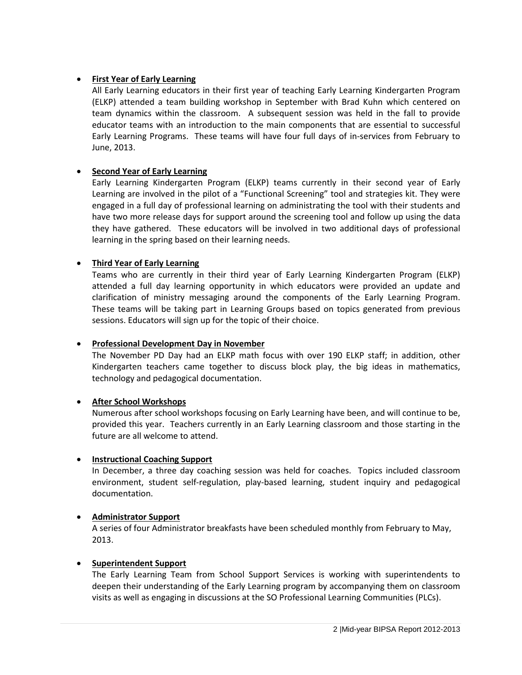# • **First Year of Early Learning**

All Early Learning educators in their first year of teaching Early Learning Kindergarten Program (ELKP) attended a team building workshop in September with Brad Kuhn which centered on team dynamics within the classroom. A subsequent session was held in the fall to provide educator teams with an introduction to the main components that are essential to successful Early Learning Programs. These teams will have four full days of in-services from February to June, 2013.

# • **Second Year of Early Learning**

Early Learning Kindergarten Program (ELKP) teams currently in their second year of Early Learning are involved in the pilot of a "Functional Screening" tool and strategies kit. They were engaged in a full day of professional learning on administrating the tool with their students and have two more release days for support around the screening tool and follow up using the data they have gathered. These educators will be involved in two additional days of professional learning in the spring based on their learning needs.

### • **Third Year of Early Learning**

Teams who are currently in their third year of Early Learning Kindergarten Program (ELKP) attended a full day learning opportunity in which educators were provided an update and clarification of ministry messaging around the components of the Early Learning Program. These teams will be taking part in Learning Groups based on topics generated from previous sessions. Educators will sign up for the topic of their choice.

#### • **Professional Development Day in November**

The November PD Day had an ELKP math focus with over 190 ELKP staff; in addition, other Kindergarten teachers came together to discuss block play, the big ideas in mathematics, technology and pedagogical documentation.

#### • **After School Workshops**

Numerous after school workshops focusing on Early Learning have been, and will continue to be, provided this year. Teachers currently in an Early Learning classroom and those starting in the future are all welcome to attend.

#### • **Instructional Coaching Support**

In December, a three day coaching session was held for coaches. Topics included classroom environment, student self-regulation, play-based learning, student inquiry and pedagogical documentation.

#### • **Administrator Support**

A series of four Administrator breakfasts have been scheduled monthly from February to May, 2013.

#### • **Superintendent Support**

The Early Learning Team from School Support Services is working with superintendents to deepen their understanding of the Early Learning program by accompanying them on classroom visits as well as engaging in discussions at the SO Professional Learning Communities (PLCs).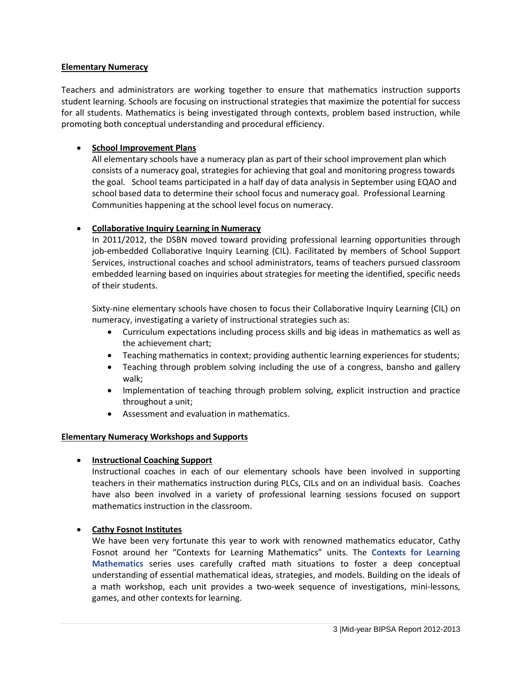### **Elementary Numeracy**

Teachers and administrators are working together to ensure that mathematics instruction supports student learning. Schools are focusing on instructional strategies that maximize the potential for success for all students. Mathematics is being investigated through contexts, problem based instruction, while promoting both conceptual understanding and procedural efficiency.

# • **School Improvement Plans**

All elementary schools have a numeracy plan as part of their school improvement plan which consists of a numeracy goal, strategies for achieving that goal and monitoring progress towards the goal. School teams participated in a half day of data analysis in September using EQAO and school based data to determine their school focus and numeracy goal. Professional Learning Communities happening at the school level focus on numeracy.

# • **Collaborative Inquiry Learning in Numeracy**

In 2011/2012, the DSBN moved toward providing professional learning opportunities through job-embedded Collaborative Inquiry Learning (CIL). Facilitated by members of School Support Services, instructional coaches and school administrators, teams of teachers pursued classroom embedded learning based on inquiries about strategies for meeting the identified, specific needs of their students.

Sixty-nine elementary schools have chosen to focus their Collaborative Inquiry Learning (CIL) on numeracy, investigating a variety of instructional strategies such as:

- Curriculum expectations including process skills and big ideas in mathematics as well as the achievement chart;
- Teaching mathematics in context; providing authentic learning experiences for students;
- Teaching through problem solving including the use of a congress, bansho and gallery walk;
- Implementation of teaching through problem solving, explicit instruction and practice throughout a unit;
- Assessment and evaluation in mathematics.

#### **Elementary Numeracy Workshops and Supports**

#### • **Instructional Coaching Support**

Instructional coaches in each of our elementary schools have been involved in supporting teachers in their mathematics instruction during PLCs, CILs and on an individual basis. Coaches have also been involved in a variety of professional learning sessions focused on support mathematics instruction in the classroom.

#### • **Cathy Fosnot Institutes**

We have been very fortunate this year to work with renowned mathematics educator, Cathy Fosnot around her "Contexts for Learning Mathematics" units. The **Contexts for Learning Mathematics** series uses carefully crafted math situations to foster a deep conceptual understanding of essential mathematical ideas, strategies, and models. Building on the ideals of a math workshop, each unit provides a two-week sequence of investigations, mini-lessons, games, and other contexts for learning.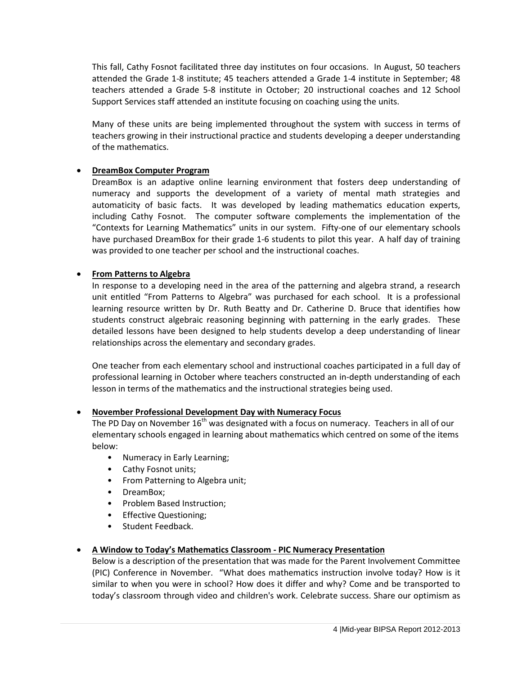This fall, Cathy Fosnot facilitated three day institutes on four occasions. In August, 50 teachers attended the Grade 1-8 institute; 45 teachers attended a Grade 1-4 institute in September; 48 teachers attended a Grade 5-8 institute in October; 20 instructional coaches and 12 School Support Services staff attended an institute focusing on coaching using the units.

Many of these units are being implemented throughout the system with success in terms of teachers growing in their instructional practice and students developing a deeper understanding of the mathematics.

# • **DreamBox Computer Program**

DreamBox is an adaptive online learning environment that fosters deep understanding of numeracy and supports the development of a variety of mental math strategies and automaticity of basic facts. It was developed by leading mathematics education experts, including Cathy Fosnot. The computer software complements the implementation of the "Contexts for Learning Mathematics" units in our system. Fifty-one of our elementary schools have purchased DreamBox for their grade 1-6 students to pilot this year. A half day of training was provided to one teacher per school and the instructional coaches.

### • **From Patterns to Algebra**

In response to a developing need in the area of the patterning and algebra strand, a research unit entitled "From Patterns to Algebra" was purchased for each school. It is a professional learning resource written by Dr. Ruth Beatty and Dr. Catherine D. Bruce that identifies how students construct algebraic reasoning beginning with patterning in the early grades. These detailed lessons have been designed to help students develop a deep understanding of linear relationships across the elementary and secondary grades.

One teacher from each elementary school and instructional coaches participated in a full day of professional learning in October where teachers constructed an in-depth understanding of each lesson in terms of the mathematics and the instructional strategies being used.

### • **November Professional Development Day with Numeracy Focus**

The PD Day on November  $16<sup>th</sup>$  was designated with a focus on numeracy. Teachers in all of our elementary schools engaged in learning about mathematics which centred on some of the items below:

- Numeracy in Early Learning;
- Cathy Fosnot units;
- From Patterning to Algebra unit;
- DreamBox;
- Problem Based Instruction;
- Effective Questioning;
- Student Feedback.

# • **A Window to Today's Mathematics Classroom - PIC Numeracy Presentation**

Below is a description of the presentation that was made for the Parent Involvement Committee (PIC) Conference in November. "What does mathematics instruction involve today? How is it similar to when you were in school? How does it differ and why? Come and be transported to today's classroom through video and children's work. Celebrate success. Share our optimism as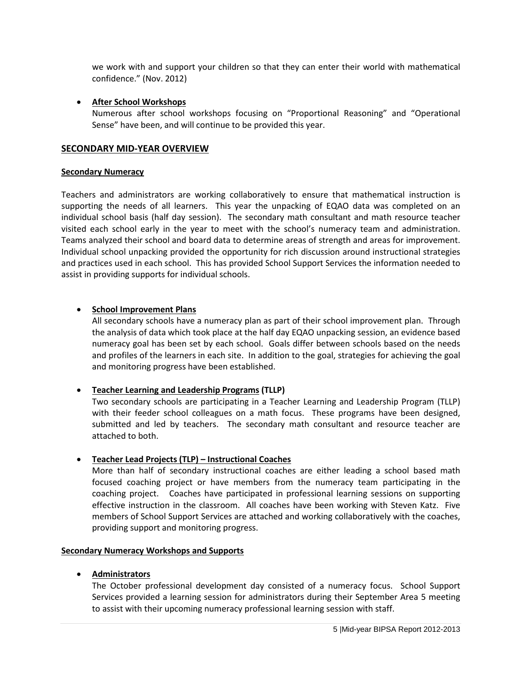we work with and support your children so that they can enter their world with mathematical confidence." (Nov. 2012)

### • **After School Workshops**

Numerous after school workshops focusing on "Proportional Reasoning" and "Operational Sense" have been, and will continue to be provided this year.

## **SECONDARY MID-YEAR OVERVIEW**

#### **Secondary Numeracy**

Teachers and administrators are working collaboratively to ensure that mathematical instruction is supporting the needs of all learners. This year the unpacking of EQAO data was completed on an individual school basis (half day session). The secondary math consultant and math resource teacher visited each school early in the year to meet with the school's numeracy team and administration. Teams analyzed their school and board data to determine areas of strength and areas for improvement. Individual school unpacking provided the opportunity for rich discussion around instructional strategies and practices used in each school. This has provided School Support Services the information needed to assist in providing supports for individual schools.

### • **School Improvement Plans**

All secondary schools have a numeracy plan as part of their school improvement plan. Through the analysis of data which took place at the half day EQAO unpacking session, an evidence based numeracy goal has been set by each school. Goals differ between schools based on the needs and profiles of the learners in each site. In addition to the goal, strategies for achieving the goal and monitoring progress have been established.

#### • **Teacher Learning and Leadership Programs (TLLP)**

Two secondary schools are participating in a Teacher Learning and Leadership Program (TLLP) with their feeder school colleagues on a math focus. These programs have been designed, submitted and led by teachers. The secondary math consultant and resource teacher are attached to both.

#### • **Teacher Lead Projects (TLP) – Instructional Coaches**

More than half of secondary instructional coaches are either leading a school based math focused coaching project or have members from the numeracy team participating in the coaching project. Coaches have participated in professional learning sessions on supporting effective instruction in the classroom. All coaches have been working with Steven Katz. Five members of School Support Services are attached and working collaboratively with the coaches, providing support and monitoring progress.

#### **Secondary Numeracy Workshops and Supports**

#### • **Administrators**

The October professional development day consisted of a numeracy focus. School Support Services provided a learning session for administrators during their September Area 5 meeting to assist with their upcoming numeracy professional learning session with staff.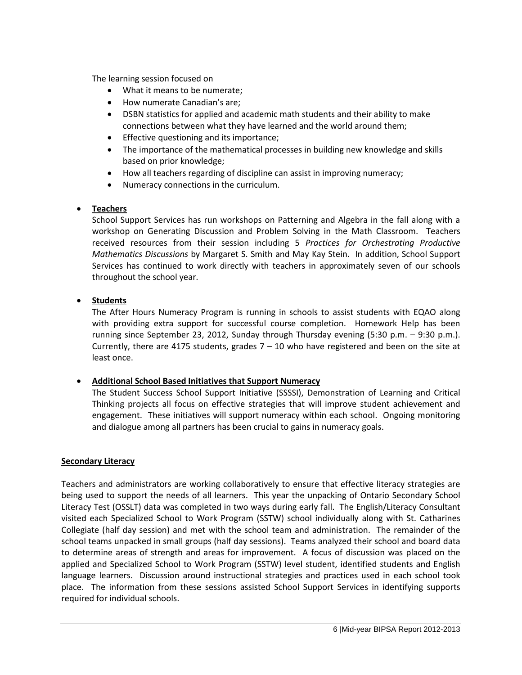The learning session focused on

- What it means to be numerate;
- How numerate Canadian's are;
- DSBN statistics for applied and academic math students and their ability to make connections between what they have learned and the world around them;
- Effective questioning and its importance;
- The importance of the mathematical processes in building new knowledge and skills based on prior knowledge;
- How all teachers regarding of discipline can assist in improving numeracy;
- Numeracy connections in the curriculum.

# • **Teachers**

School Support Services has run workshops on Patterning and Algebra in the fall along with a workshop on Generating Discussion and Problem Solving in the Math Classroom. Teachers received resources from their session including 5 *Practices for Orchestrating Productive Mathematics Discussions* by Margaret S. Smith and May Kay Stein. In addition, School Support Services has continued to work directly with teachers in approximately seven of our schools throughout the school year.

# • **Students**

The After Hours Numeracy Program is running in schools to assist students with EQAO along with providing extra support for successful course completion. Homework Help has been running since September 23, 2012, Sunday through Thursday evening (5:30 p.m. – 9:30 p.m.). Currently, there are 4175 students, grades  $7 - 10$  who have registered and been on the site at least once.

# • **Additional School Based Initiatives that Support Numeracy**

The Student Success School Support Initiative (SSSSI), Demonstration of Learning and Critical Thinking projects all focus on effective strategies that will improve student achievement and engagement. These initiatives will support numeracy within each school. Ongoing monitoring and dialogue among all partners has been crucial to gains in numeracy goals.

# **Secondary Literacy**

Teachers and administrators are working collaboratively to ensure that effective literacy strategies are being used to support the needs of all learners. This year the unpacking of Ontario Secondary School Literacy Test (OSSLT) data was completed in two ways during early fall. The English/Literacy Consultant visited each Specialized School to Work Program (SSTW) school individually along with St. Catharines Collegiate (half day session) and met with the school team and administration. The remainder of the school teams unpacked in small groups (half day sessions). Teams analyzed their school and board data to determine areas of strength and areas for improvement. A focus of discussion was placed on the applied and Specialized School to Work Program (SSTW) level student, identified students and English language learners. Discussion around instructional strategies and practices used in each school took place. The information from these sessions assisted School Support Services in identifying supports required for individual schools.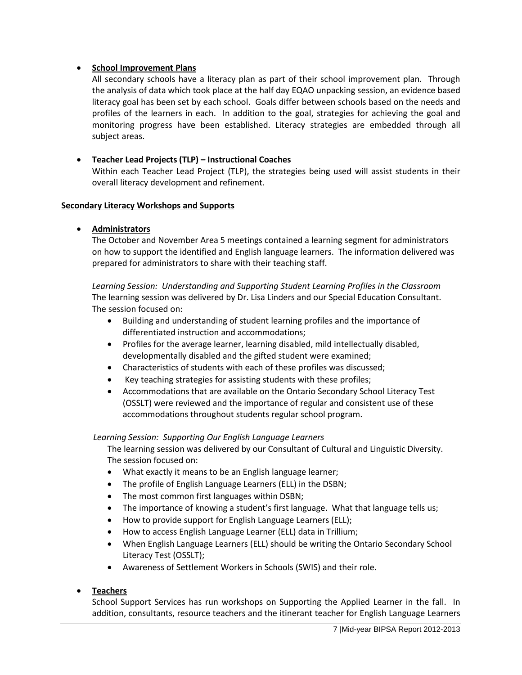### • **School Improvement Plans**

All secondary schools have a literacy plan as part of their school improvement plan. Through the analysis of data which took place at the half day EQAO unpacking session, an evidence based literacy goal has been set by each school. Goals differ between schools based on the needs and profiles of the learners in each. In addition to the goal, strategies for achieving the goal and monitoring progress have been established. Literacy strategies are embedded through all subject areas.

## • **Teacher Lead Projects (TLP) – Instructional Coaches**

Within each Teacher Lead Project (TLP), the strategies being used will assist students in their overall literacy development and refinement.

#### **Secondary Literacy Workshops and Supports**

### • **Administrators**

The October and November Area 5 meetings contained a learning segment for administrators on how to support the identified and English language learners. The information delivered was prepared for administrators to share with their teaching staff.

*Learning Session: Understanding and Supporting Student Learning Profiles in the Classroom* The learning session was delivered by Dr. Lisa Linders and our Special Education Consultant. The session focused on:

- Building and understanding of student learning profiles and the importance of differentiated instruction and accommodations;
- Profiles for the average learner, learning disabled, mild intellectually disabled, developmentally disabled and the gifted student were examined;
- Characteristics of students with each of these profiles was discussed;
- Key teaching strategies for assisting students with these profiles;
- Accommodations that are available on the Ontario Secondary School Literacy Test (OSSLT) were reviewed and the importance of regular and consistent use of these accommodations throughout students regular school program.

#### *Learning Session: Supporting Our English Language Learners*

The learning session was delivered by our Consultant of Cultural and Linguistic Diversity. The session focused on:

- What exactly it means to be an English language learner;
- The profile of English Language Learners (ELL) in the DSBN;
- The most common first languages within DSBN;
- The importance of knowing a student's first language. What that language tells us;
- How to provide support for English Language Learners (ELL);
- How to access English Language Learner (ELL) data in Trillium;
- When English Language Learners (ELL) should be writing the Ontario Secondary School Literacy Test (OSSLT);
- Awareness of Settlement Workers in Schools (SWIS) and their role.

#### • **Teachers**

School Support Services has run workshops on Supporting the Applied Learner in the fall. In addition, consultants, resource teachers and the itinerant teacher for English Language Learners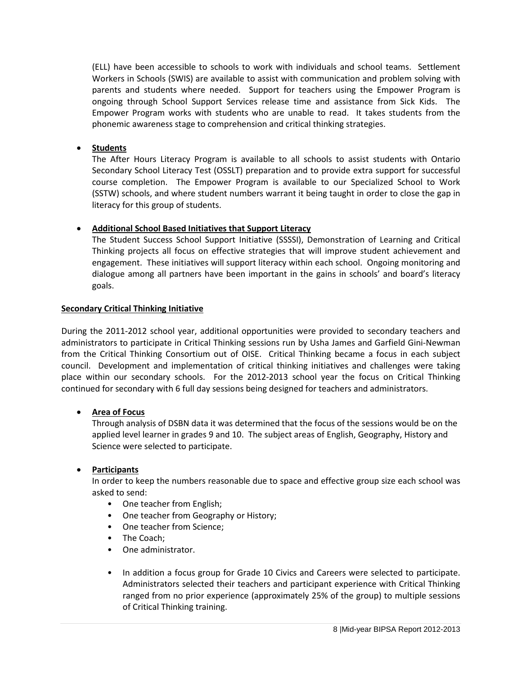(ELL) have been accessible to schools to work with individuals and school teams. Settlement Workers in Schools (SWIS) are available to assist with communication and problem solving with parents and students where needed. Support for teachers using the Empower Program is ongoing through School Support Services release time and assistance from Sick Kids. The Empower Program works with students who are unable to read. It takes students from the phonemic awareness stage to comprehension and critical thinking strategies.

# • **Students**

The After Hours Literacy Program is available to all schools to assist students with Ontario Secondary School Literacy Test (OSSLT) preparation and to provide extra support for successful course completion. The Empower Program is available to our Specialized School to Work (SSTW) schools, and where student numbers warrant it being taught in order to close the gap in literacy for this group of students.

# • **Additional School Based Initiatives that Support Literacy**

The Student Success School Support Initiative (SSSSI), Demonstration of Learning and Critical Thinking projects all focus on effective strategies that will improve student achievement and engagement. These initiatives will support literacy within each school. Ongoing monitoring and dialogue among all partners have been important in the gains in schools' and board's literacy goals.

#### **Secondary Critical Thinking Initiative**

During the 2011-2012 school year, additional opportunities were provided to secondary teachers and administrators to participate in Critical Thinking sessions run by Usha James and Garfield Gini-Newman from the Critical Thinking Consortium out of OISE. Critical Thinking became a focus in each subject council. Development and implementation of critical thinking initiatives and challenges were taking place within our secondary schools. For the 2012-2013 school year the focus on Critical Thinking continued for secondary with 6 full day sessions being designed for teachers and administrators.

# • **Area of Focus**

Through analysis of DSBN data it was determined that the focus of the sessions would be on the applied level learner in grades 9 and 10. The subject areas of English, Geography, History and Science were selected to participate.

# • **Participants**

In order to keep the numbers reasonable due to space and effective group size each school was asked to send:

- One teacher from English;
- One teacher from Geography or History;
- One teacher from Science;
- The Coach;
- One administrator.
- In addition a focus group for Grade 10 Civics and Careers were selected to participate. Administrators selected their teachers and participant experience with Critical Thinking ranged from no prior experience (approximately 25% of the group) to multiple sessions of Critical Thinking training.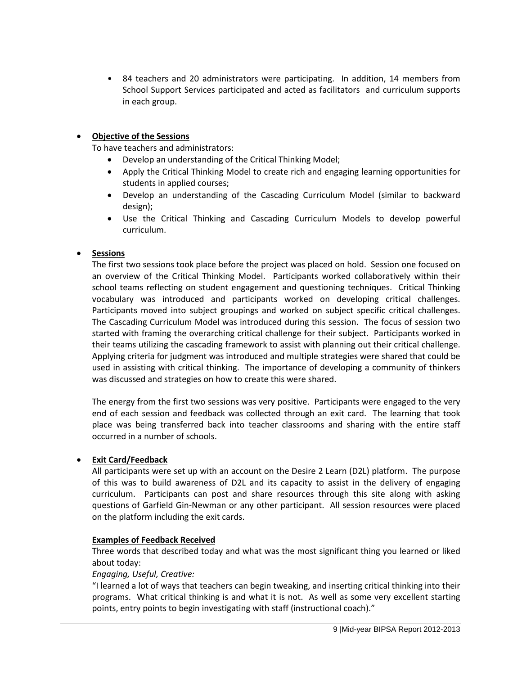• 84 teachers and 20 administrators were participating. In addition, 14 members from School Support Services participated and acted as facilitators and curriculum supports in each group.

# • **Objective of the Sessions**

To have teachers and administrators:

- Develop an understanding of the Critical Thinking Model;
- Apply the Critical Thinking Model to create rich and engaging learning opportunities for students in applied courses;
- Develop an understanding of the Cascading Curriculum Model (similar to backward design);
- Use the Critical Thinking and Cascading Curriculum Models to develop powerful curriculum.

# • **Sessions**

The first two sessions took place before the project was placed on hold. Session one focused on an overview of the Critical Thinking Model. Participants worked collaboratively within their school teams reflecting on student engagement and questioning techniques. Critical Thinking vocabulary was introduced and participants worked on developing critical challenges. Participants moved into subject groupings and worked on subject specific critical challenges. The Cascading Curriculum Model was introduced during this session. The focus of session two started with framing the overarching critical challenge for their subject. Participants worked in their teams utilizing the cascading framework to assist with planning out their critical challenge. Applying criteria for judgment was introduced and multiple strategies were shared that could be used in assisting with critical thinking. The importance of developing a community of thinkers was discussed and strategies on how to create this were shared.

The energy from the first two sessions was very positive. Participants were engaged to the very end of each session and feedback was collected through an exit card. The learning that took place was being transferred back into teacher classrooms and sharing with the entire staff occurred in a number of schools.

# • **Exit Card/Feedback**

All participants were set up with an account on the Desire 2 Learn (D2L) platform. The purpose of this was to build awareness of D2L and its capacity to assist in the delivery of engaging curriculum. Participants can post and share resources through this site along with asking questions of Garfield Gin-Newman or any other participant. All session resources were placed on the platform including the exit cards.

#### **Examples of Feedback Received**

Three words that described today and what was the most significant thing you learned or liked about today:

#### *Engaging, Useful, Creative:*

"I learned a lot of ways that teachers can begin tweaking, and inserting critical thinking into their programs. What critical thinking is and what it is not. As well as some very excellent starting points, entry points to begin investigating with staff (instructional coach)."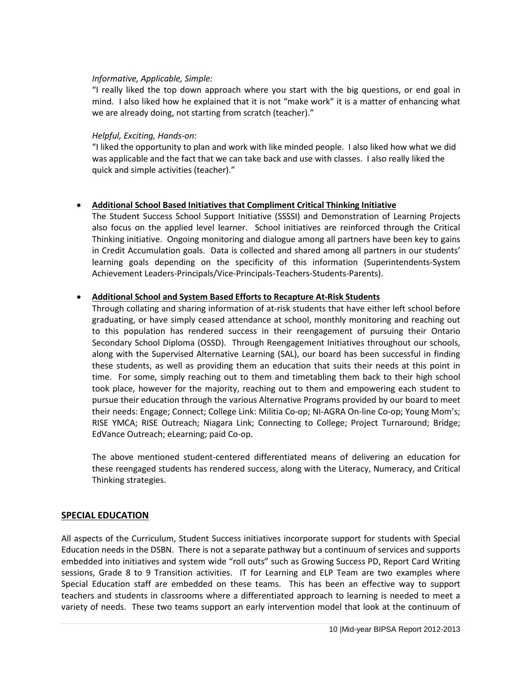### *Informative, Applicable, Simple:*

"I really liked the top down approach where you start with the big questions, or end goal in mind. I also liked how he explained that it is not "make work" it is a matter of enhancing what we are already doing, not starting from scratch (teacher)."

### *Helpful, Exciting, Hands-on:*

"I liked the opportunity to plan and work with like minded people. I also liked how what we did was applicable and the fact that we can take back and use with classes. I also really liked the quick and simple activities (teacher)."

# • **Additional School Based Initiatives that Compliment Critical Thinking Initiative**

The Student Success School Support Initiative (SSSSI) and Demonstration of Learning Projects also focus on the applied level learner. School initiatives are reinforced through the Critical Thinking initiative. Ongoing monitoring and dialogue among all partners have been key to gains in Credit Accumulation goals. Data is collected and shared among all partners in our students' learning goals depending on the specificity of this information (Superintendents-System Achievement Leaders-Principals/Vice-Principals-Teachers-Students-Parents).

### • **Additional School and System Based Efforts to Recapture At-Risk Students**

Through collating and sharing information of at-risk students that have either left school before graduating, or have simply ceased attendance at school, monthly monitoring and reaching out to this population has rendered success in their reengagement of pursuing their Ontario Secondary School Diploma (OSSD). Through Reengagement Initiatives throughout our schools, along with the Supervised Alternative Learning (SAL), our board has been successful in finding these students, as well as providing them an education that suits their needs at this point in time. For some, simply reaching out to them and timetabling them back to their high school took place, however for the majority, reaching out to them and empowering each student to pursue their education through the various Alternative Programs provided by our board to meet their needs: Engage; Connect; College Link: Militia Co-op; NI-AGRA On-line Co-op; Young Mom's; RISE YMCA; RISE Outreach; Niagara Link; Connecting to College; Project Turnaround; Bridge; EdVance Outreach; eLearning; paid Co-op.

The above mentioned student-centered differentiated means of delivering an education for these reengaged students has rendered success, along with the Literacy, Numeracy, and Critical Thinking strategies.

# **SPECIAL EDUCATION**

All aspects of the Curriculum, Student Success initiatives incorporate support for students with Special Education needs in the DSBN. There is not a separate pathway but a continuum of services and supports embedded into initiatives and system wide "roll outs" such as Growing Success PD, Report Card Writing sessions, Grade 8 to 9 Transition activities. IT for Learning and ELP Team are two examples where Special Education staff are embedded on these teams. This has been an effective way to support teachers and students in classrooms where a differentiated approach to learning is needed to meet a variety of needs. These two teams support an early intervention model that look at the continuum of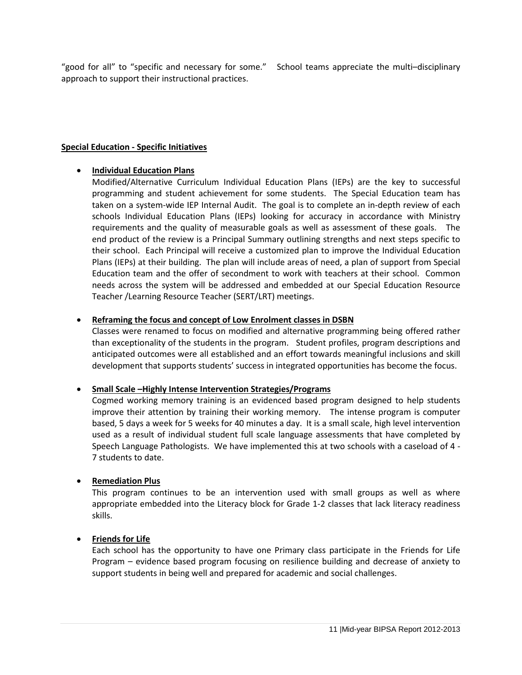"good for all" to "specific and necessary for some." School teams appreciate the multi–disciplinary approach to support their instructional practices.

### **Special Education - Specific Initiatives**

### • **Individual Education Plans**

Modified/Alternative Curriculum Individual Education Plans (IEPs) are the key to successful programming and student achievement for some students. The Special Education team has taken on a system-wide IEP Internal Audit. The goal is to complete an in-depth review of each schools Individual Education Plans (IEPs) looking for accuracy in accordance with Ministry requirements and the quality of measurable goals as well as assessment of these goals. The end product of the review is a Principal Summary outlining strengths and next steps specific to their school. Each Principal will receive a customized plan to improve the Individual Education Plans (IEPs) at their building. The plan will include areas of need, a plan of support from Special Education team and the offer of secondment to work with teachers at their school. Common needs across the system will be addressed and embedded at our Special Education Resource Teacher /Learning Resource Teacher (SERT/LRT) meetings.

### • **Reframing the focus and concept of Low Enrolment classes in DSBN**

Classes were renamed to focus on modified and alternative programming being offered rather than exceptionality of the students in the program. Student profiles, program descriptions and anticipated outcomes were all established and an effort towards meaningful inclusions and skill development that supports students' success in integrated opportunities has become the focus.

# • **Small Scale –Highly Intense Intervention Strategies/Programs**

Cogmed working memory training is an evidenced based program designed to help students improve their attention by training their working memory. The intense program is computer based, 5 days a week for 5 weeks for 40 minutes a day. It is a small scale, high level intervention used as a result of individual student full scale language assessments that have completed by Speech Language Pathologists. We have implemented this at two schools with a caseload of 4 - 7 students to date.

#### • **Remediation Plus**

This program continues to be an intervention used with small groups as well as where appropriate embedded into the Literacy block for Grade 1-2 classes that lack literacy readiness skills.

# • **Friends for Life**

Each school has the opportunity to have one Primary class participate in the Friends for Life Program – evidence based program focusing on resilience building and decrease of anxiety to support students in being well and prepared for academic and social challenges.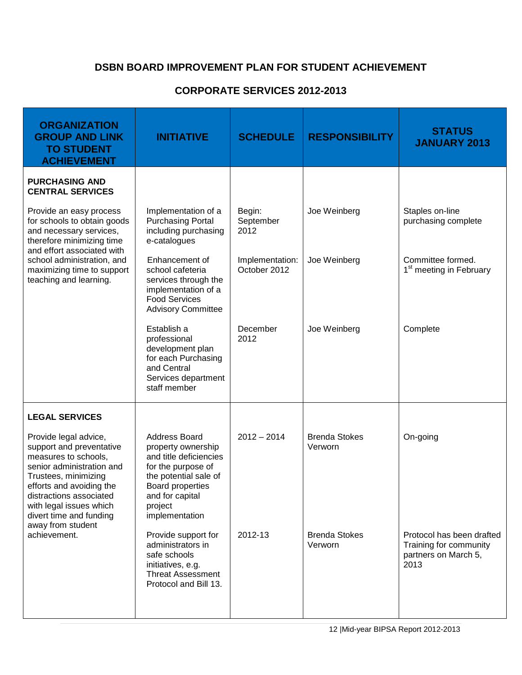# **DSBN BOARD IMPROVEMENT PLAN FOR STUDENT ACHIEVEMENT**

# **CORPORATE SERVICES 2012-2013**

| <b>ORGANIZATION</b><br><b>GROUP AND LINK</b><br><b>TO STUDENT</b><br><b>ACHIEVEMENT</b>                                                                                                                                                                                          | <b>INITIATIVE</b>                                                                                                                                                                       | <b>SCHEDULE</b>                 | <b>RESPONSIBILITY</b>           | <b>STATUS</b><br><b>JANUARY 2013</b>                                                |
|----------------------------------------------------------------------------------------------------------------------------------------------------------------------------------------------------------------------------------------------------------------------------------|-----------------------------------------------------------------------------------------------------------------------------------------------------------------------------------------|---------------------------------|---------------------------------|-------------------------------------------------------------------------------------|
| <b>PURCHASING AND</b><br><b>CENTRAL SERVICES</b>                                                                                                                                                                                                                                 |                                                                                                                                                                                         |                                 |                                 |                                                                                     |
| Provide an easy process<br>for schools to obtain goods<br>and necessary services,<br>therefore minimizing time<br>and effort associated with<br>school administration, and<br>maximizing time to support<br>teaching and learning.                                               | Implementation of a<br><b>Purchasing Portal</b><br>including purchasing<br>e-catalogues                                                                                                 | Begin:<br>September<br>2012     | Joe Weinberg                    | Staples on-line<br>purchasing complete                                              |
|                                                                                                                                                                                                                                                                                  | Enhancement of<br>school cafeteria<br>services through the<br>implementation of a<br><b>Food Services</b><br><b>Advisory Committee</b>                                                  | Implementation:<br>October 2012 | Joe Weinberg                    | Committee formed.<br>1 <sup>st</sup> meeting in February                            |
|                                                                                                                                                                                                                                                                                  | Establish a<br>professional<br>development plan<br>for each Purchasing<br>and Central<br>Services department<br>staff member                                                            | December<br>2012                | Joe Weinberg                    | Complete                                                                            |
| <b>LEGAL SERVICES</b>                                                                                                                                                                                                                                                            |                                                                                                                                                                                         |                                 |                                 |                                                                                     |
| Provide legal advice,<br>support and preventative<br>measures to schools,<br>senior administration and<br>Trustees, minimizing<br>efforts and avoiding the<br>distractions associated<br>with legal issues which<br>divert time and funding<br>away from student<br>achievement. | Address Board<br>property ownership<br>and title deficiencies<br>for the purpose of<br>the potential sale of<br><b>Board properties</b><br>and for capital<br>project<br>implementation | $2012 - 2014$                   | <b>Brenda Stokes</b><br>Verworn | On-going                                                                            |
|                                                                                                                                                                                                                                                                                  | Provide support for<br>administrators in<br>safe schools<br>initiatives, e.g.<br><b>Threat Assessment</b><br>Protocol and Bill 13.                                                      | 2012-13                         | <b>Brenda Stokes</b><br>Verworn | Protocol has been drafted<br>Training for community<br>partners on March 5,<br>2013 |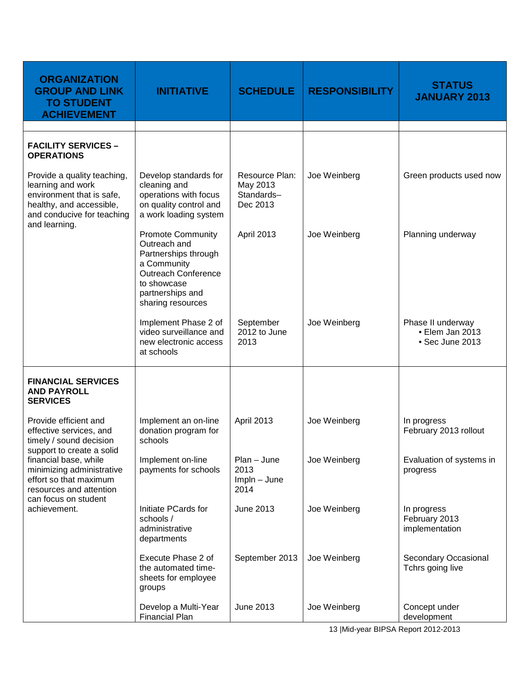| <b>ORGANIZATION</b><br><b>GROUP AND LINK</b><br><b>TO STUDENT</b><br><b>ACHIEVEMENT</b>                                                                                                                                                                     | <b>INITIATIVE</b>                                                                                                                                                     | <b>SCHEDULE</b>                                      | <b>RESPONSIBILITY</b> | <b>STATUS</b><br><b>JANUARY 2013</b>                    |
|-------------------------------------------------------------------------------------------------------------------------------------------------------------------------------------------------------------------------------------------------------------|-----------------------------------------------------------------------------------------------------------------------------------------------------------------------|------------------------------------------------------|-----------------------|---------------------------------------------------------|
| <b>FACILITY SERVICES -</b><br><b>OPERATIONS</b>                                                                                                                                                                                                             |                                                                                                                                                                       |                                                      |                       |                                                         |
| Provide a quality teaching,<br>learning and work<br>environment that is safe,<br>healthy, and accessible,<br>and conducive for teaching                                                                                                                     | Develop standards for<br>cleaning and<br>operations with focus<br>on quality control and<br>a work loading system                                                     | Resource Plan:<br>May 2013<br>Standards-<br>Dec 2013 | Joe Weinberg          | Green products used now                                 |
| and learning.                                                                                                                                                                                                                                               | <b>Promote Community</b><br>Outreach and<br>Partnerships through<br>a Community<br><b>Outreach Conference</b><br>to showcase<br>partnerships and<br>sharing resources | April 2013                                           | Joe Weinberg          | Planning underway                                       |
|                                                                                                                                                                                                                                                             | Implement Phase 2 of<br>video surveillance and<br>new electronic access<br>at schools                                                                                 | September<br>2012 to June<br>2013                    | Joe Weinberg          | Phase II underway<br>• Elem Jan 2013<br>• Sec June 2013 |
| <b>FINANCIAL SERVICES</b><br><b>AND PAYROLL</b><br><b>SERVICES</b>                                                                                                                                                                                          |                                                                                                                                                                       |                                                      |                       |                                                         |
| Provide efficient and<br>effective services, and<br>timely / sound decision<br>support to create a solid<br>financial base, while<br>minimizing administrative<br>effort so that maximum<br>resources and attention<br>can focus on student<br>achievement. | Implement an on-line<br>donation program for<br>schools                                                                                                               | April 2013                                           | Joe Weinberg          | In progress<br>February 2013 rollout                    |
|                                                                                                                                                                                                                                                             | Implement on-line<br>payments for schools                                                                                                                             | $Plan$ – June<br>2013<br>$Impln - June$<br>2014      | Joe Weinberg          | Evaluation of systems in<br>progress                    |
|                                                                                                                                                                                                                                                             | Initiate PCards for<br>schools /<br>administrative<br>departments                                                                                                     | June 2013                                            | Joe Weinberg          | In progress<br>February 2013<br>implementation          |
|                                                                                                                                                                                                                                                             | Execute Phase 2 of<br>the automated time-<br>sheets for employee<br>groups                                                                                            | September 2013                                       | Joe Weinberg          | Secondary Occasional<br>Tchrs going live                |
|                                                                                                                                                                                                                                                             | Develop a Multi-Year<br><b>Financial Plan</b>                                                                                                                         | June 2013                                            | Joe Weinberg          | Concept under<br>development                            |

13 |Mid-year BIPSA Report 2012-2013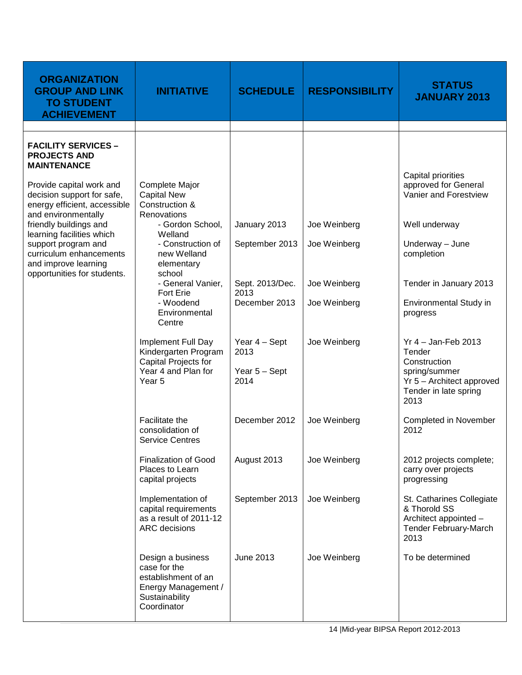| <b>ORGANIZATION</b><br><b>GROUP AND LINK</b><br><b>TO STUDENT</b><br><b>ACHIEVEMENT</b>                       | <b>INITIATIVE</b>                                                                                                | <b>SCHEDULE</b>                                | <b>RESPONSIBILITY</b> | <b>STATUS</b><br><b>JANUARY 2013</b>                                                                                           |
|---------------------------------------------------------------------------------------------------------------|------------------------------------------------------------------------------------------------------------------|------------------------------------------------|-----------------------|--------------------------------------------------------------------------------------------------------------------------------|
|                                                                                                               |                                                                                                                  |                                                |                       |                                                                                                                                |
| <b>FACILITY SERVICES -</b><br><b>PROJECTS AND</b><br><b>MAINTENANCE</b>                                       |                                                                                                                  |                                                |                       | Capital priorities                                                                                                             |
| Provide capital work and<br>decision support for safe,<br>energy efficient, accessible<br>and environmentally | Complete Major<br><b>Capital New</b><br>Construction &<br>Renovations                                            |                                                |                       | approved for General<br>Vanier and Forestview                                                                                  |
| friendly buildings and<br>learning facilities which                                                           | - Gordon School,<br>Welland                                                                                      | January 2013                                   | Joe Weinberg          | Well underway                                                                                                                  |
| support program and<br>curriculum enhancements<br>and improve learning                                        | - Construction of<br>new Welland<br>elementary<br>school                                                         | September 2013                                 | Joe Weinberg          | Underway - June<br>completion                                                                                                  |
| opportunities for students.                                                                                   | - General Vanier,<br><b>Fort Erie</b>                                                                            | Sept. 2013/Dec.<br>2013                        | Joe Weinberg          | Tender in January 2013                                                                                                         |
|                                                                                                               | - Woodend<br>Environmental<br>Centre                                                                             | December 2013                                  | Joe Weinberg          | Environmental Study in<br>progress                                                                                             |
|                                                                                                               | Implement Full Day<br>Kindergarten Program<br>Capital Projects for<br>Year 4 and Plan for<br>Year <sub>5</sub>   | Year 4 - Sept<br>2013<br>Year 5 - Sept<br>2014 | Joe Weinberg          | $Yr$ 4 - Jan-Feb 2013<br>Tender<br>Construction<br>spring/summer<br>Yr 5 - Architect approved<br>Tender in late spring<br>2013 |
|                                                                                                               | Facilitate the<br>consolidation of<br><b>Service Centres</b>                                                     | December 2012                                  | Joe Weinberg          | Completed in November<br>2012                                                                                                  |
|                                                                                                               | <b>Finalization of Good</b><br>Places to Learn<br>capital projects                                               | August 2013                                    | Joe Weinberg          | 2012 projects complete;<br>carry over projects<br>progressing                                                                  |
|                                                                                                               | Implementation of<br>capital requirements<br>as a result of 2011-12<br>ARC decisions                             | September 2013                                 | Joe Weinberg          | St. Catharines Collegiate<br>& Thorold SS<br>Architect appointed -<br>Tender February-March<br>2013                            |
|                                                                                                               | Design a business<br>case for the<br>establishment of an<br>Energy Management /<br>Sustainability<br>Coordinator | <b>June 2013</b>                               | Joe Weinberg          | To be determined                                                                                                               |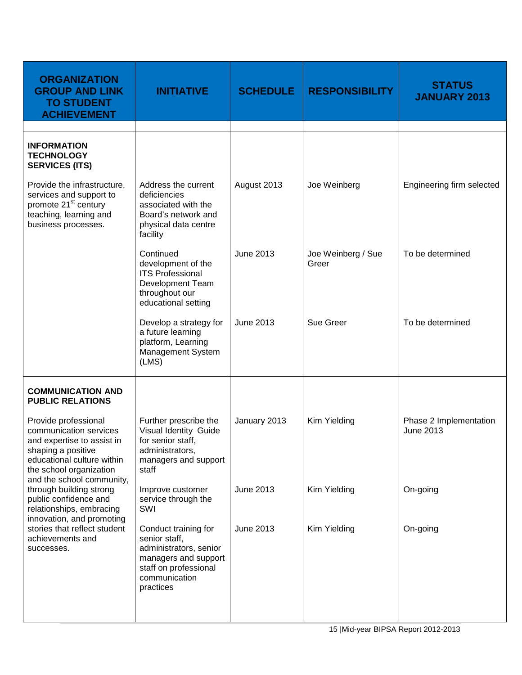| <b>ORGANIZATION</b><br><b>GROUP AND LINK</b><br><b>TO STUDENT</b><br><b>ACHIEVEMENT</b>                                                                                                  | <b>INITIATIVE</b>                                                                                                                              | <b>SCHEDULE</b>  | <b>RESPONSIBILITY</b>       | <b>STATUS</b><br><b>JANUARY 2013</b> |
|------------------------------------------------------------------------------------------------------------------------------------------------------------------------------------------|------------------------------------------------------------------------------------------------------------------------------------------------|------------------|-----------------------------|--------------------------------------|
| <b>INFORMATION</b><br><b>TECHNOLOGY</b><br><b>SERVICES (ITS)</b>                                                                                                                         |                                                                                                                                                |                  |                             |                                      |
| Provide the infrastructure,<br>services and support to<br>promote 21 <sup>st</sup> century<br>teaching, learning and<br>business processes.                                              | Address the current<br>deficiencies<br>associated with the<br>Board's network and<br>physical data centre<br>facility                          | August 2013      | Joe Weinberg                | Engineering firm selected            |
|                                                                                                                                                                                          | Continued<br>development of the<br><b>ITS Professional</b><br>Development Team<br>throughout our<br>educational setting                        | <b>June 2013</b> | Joe Weinberg / Sue<br>Greer | To be determined                     |
|                                                                                                                                                                                          | Develop a strategy for<br>a future learning<br>platform, Learning<br>Management System<br>(LMS)                                                | <b>June 2013</b> | Sue Greer                   | To be determined                     |
| <b>COMMUNICATION AND</b><br><b>PUBLIC RELATIONS</b>                                                                                                                                      |                                                                                                                                                |                  |                             |                                      |
| Provide professional<br>communication services<br>and expertise to assist in<br>shaping a positive<br>educational culture within<br>the school organization<br>and the school community, | Further prescribe the<br>Visual Identity Guide<br>for senior staff,<br>administrators,<br>managers and support<br>staff                        | January 2013     | Kim Yielding                | Phase 2 Implementation<br>June 2013  |
| through building strong<br>public confidence and<br>relationships, embracing<br>innovation, and promoting                                                                                | Improve customer<br>service through the<br>SWI                                                                                                 | June 2013        | Kim Yielding                | On-going                             |
| stories that reflect student<br>achievements and<br>successes.                                                                                                                           | Conduct training for<br>senior staff,<br>administrators, senior<br>managers and support<br>staff on professional<br>communication<br>practices | <b>June 2013</b> | Kim Yielding                | On-going                             |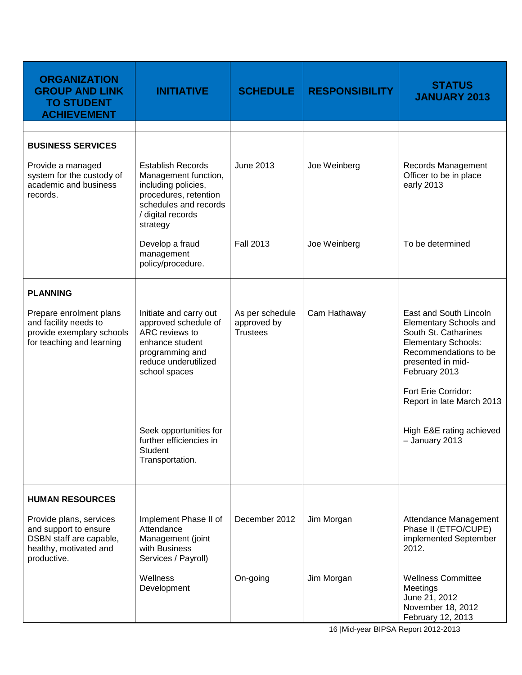| <b>ORGANIZATION</b><br><b>GROUP AND LINK</b><br><b>TO STUDENT</b><br><b>ACHIEVEMENT</b>                              | <b>INITIATIVE</b>                                                                                                                                          | <b>SCHEDULE</b>                                   | <b>RESPONSIBILITY</b> | <b>STATUS</b><br><b>JANUARY 2013</b>                                                                                                                                                                                             |
|----------------------------------------------------------------------------------------------------------------------|------------------------------------------------------------------------------------------------------------------------------------------------------------|---------------------------------------------------|-----------------------|----------------------------------------------------------------------------------------------------------------------------------------------------------------------------------------------------------------------------------|
| <b>BUSINESS SERVICES</b><br>Provide a managed<br>system for the custody of<br>academic and business<br>records.      | <b>Establish Records</b><br>Management function,<br>including policies,<br>procedures, retention<br>schedules and records<br>/ digital records<br>strategy | <b>June 2013</b>                                  | Joe Weinberg          | Records Management<br>Officer to be in place<br>early 2013                                                                                                                                                                       |
|                                                                                                                      | Develop a fraud<br>management<br>policy/procedure.                                                                                                         | <b>Fall 2013</b>                                  | Joe Weinberg          | To be determined                                                                                                                                                                                                                 |
| <b>PLANNING</b>                                                                                                      |                                                                                                                                                            |                                                   |                       |                                                                                                                                                                                                                                  |
| Prepare enrolment plans<br>and facility needs to<br>provide exemplary schools<br>for teaching and learning           | Initiate and carry out<br>approved schedule of<br>ARC reviews to<br>enhance student<br>programming and<br>reduce underutilized<br>school spaces            | As per schedule<br>approved by<br><b>Trustees</b> | Cam Hathaway          | East and South Lincoln<br><b>Elementary Schools and</b><br>South St. Catharines<br><b>Elementary Schools:</b><br>Recommendations to be<br>presented in mid-<br>February 2013<br>Fort Erie Corridor:<br>Report in late March 2013 |
|                                                                                                                      | Seek opportunities for<br>further efficiencies in<br>Student<br>Transportation.                                                                            |                                                   |                       | High E&E rating achieved<br>- January 2013                                                                                                                                                                                       |
| <b>HUMAN RESOURCES</b>                                                                                               |                                                                                                                                                            |                                                   |                       |                                                                                                                                                                                                                                  |
| Provide plans, services<br>and support to ensure<br>DSBN staff are capable,<br>healthy, motivated and<br>productive. | Implement Phase II of<br>Attendance<br>Management (joint<br>with Business<br>Services / Payroll)                                                           | December 2012                                     | Jim Morgan            | Attendance Management<br>Phase II (ETFO/CUPE)<br>implemented September<br>2012.                                                                                                                                                  |
|                                                                                                                      | Wellness<br>Development                                                                                                                                    | On-going                                          | Jim Morgan            | <b>Wellness Committee</b><br>Meetings<br>June 21, 2012<br>November 18, 2012<br>February 12, 2013                                                                                                                                 |

16 |Mid-year BIPSA Report 2012-2013